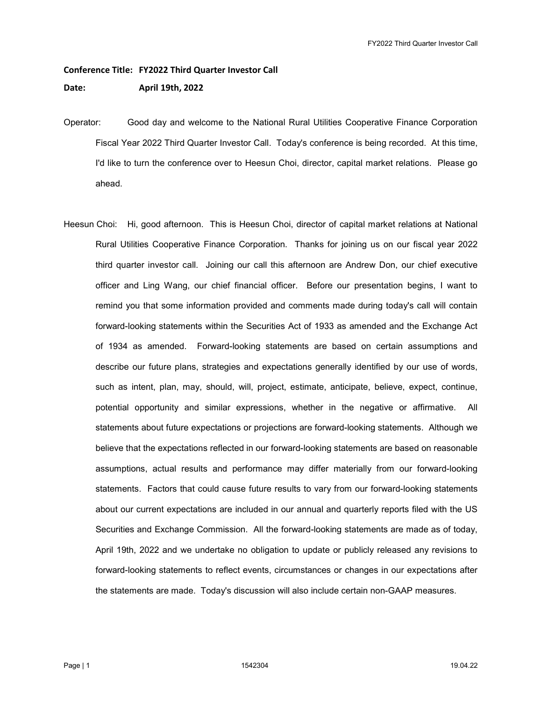## Conference Title: FY2022 Third Quarter Investor Call

Date: April 19th, 2022

- Operator: Good day and welcome to the National Rural Utilities Cooperative Finance Corporation Fiscal Year 2022 Third Quarter Investor Call. Today's conference is being recorded. At this time, I'd like to turn the conference over to Heesun Choi, director, capital market relations. Please go ahead.
- Heesun Choi: Hi, good afternoon. This is Heesun Choi, director of capital market relations at National Rural Utilities Cooperative Finance Corporation. Thanks for joining us on our fiscal year 2022 third quarter investor call. Joining our call this afternoon are Andrew Don, our chief executive officer and Ling Wang, our chief financial officer. Before our presentation begins, I want to remind you that some information provided and comments made during today's call will contain forward-looking statements within the Securities Act of 1933 as amended and the Exchange Act of 1934 as amended. Forward-looking statements are based on certain assumptions and describe our future plans, strategies and expectations generally identified by our use of words, such as intent, plan, may, should, will, project, estimate, anticipate, believe, expect, continue, potential opportunity and similar expressions, whether in the negative or affirmative. All statements about future expectations or projections are forward-looking statements. Although we believe that the expectations reflected in our forward-looking statements are based on reasonable assumptions, actual results and performance may differ materially from our forward-looking statements. Factors that could cause future results to vary from our forward-looking statements about our current expectations are included in our annual and quarterly reports filed with the US Securities and Exchange Commission. All the forward-looking statements are made as of today, April 19th, 2022 and we undertake no obligation to update or publicly released any revisions to forward-looking statements to reflect events, circumstances or changes in our expectations after the statements are made. Today's discussion will also include certain non-GAAP measures.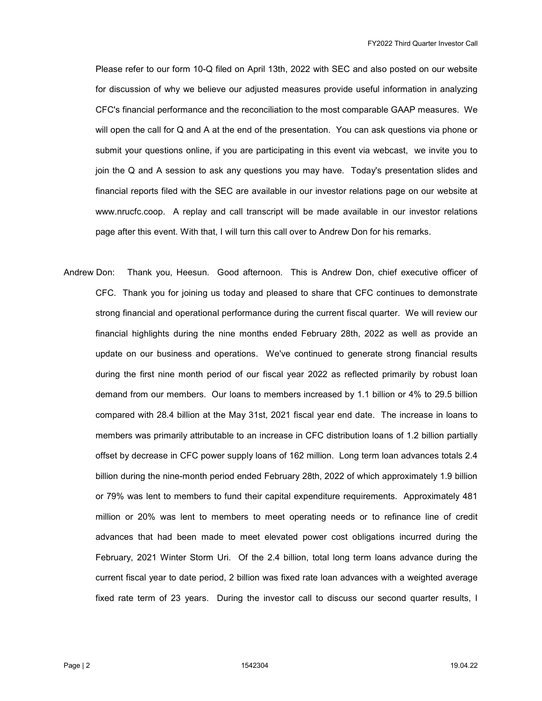Please refer to our form 10-Q filed on April 13th, 2022 with SEC and also posted on our website for discussion of why we believe our adjusted measures provide useful information in analyzing CFC's financial performance and the reconciliation to the most comparable GAAP measures. We will open the call for Q and A at the end of the presentation. You can ask questions via phone or submit your questions online, if you are participating in this event via webcast, we invite you to join the Q and A session to ask any questions you may have. Today's presentation slides and financial reports filed with the SEC are available in our investor relations page on our website at www.nrucfc.coop. A replay and call transcript will be made available in our investor relations page after this event. With that, I will turn this call over to Andrew Don for his remarks.

Andrew Don: Thank you, Heesun. Good afternoon. This is Andrew Don, chief executive officer of CFC. Thank you for joining us today and pleased to share that CFC continues to demonstrate strong financial and operational performance during the current fiscal quarter. We will review our financial highlights during the nine months ended February 28th, 2022 as well as provide an update on our business and operations. We've continued to generate strong financial results during the first nine month period of our fiscal year 2022 as reflected primarily by robust loan demand from our members. Our loans to members increased by 1.1 billion or 4% to 29.5 billion compared with 28.4 billion at the May 31st, 2021 fiscal year end date. The increase in loans to members was primarily attributable to an increase in CFC distribution loans of 1.2 billion partially offset by decrease in CFC power supply loans of 162 million. Long term loan advances totals 2.4 billion during the nine-month period ended February 28th, 2022 of which approximately 1.9 billion or 79% was lent to members to fund their capital expenditure requirements. Approximately 481 million or 20% was lent to members to meet operating needs or to refinance line of credit advances that had been made to meet elevated power cost obligations incurred during the February, 2021 Winter Storm Uri. Of the 2.4 billion, total long term loans advance during the current fiscal year to date period, 2 billion was fixed rate loan advances with a weighted average fixed rate term of 23 years. During the investor call to discuss our second quarter results, I

Page | 2 1542304 19.04.22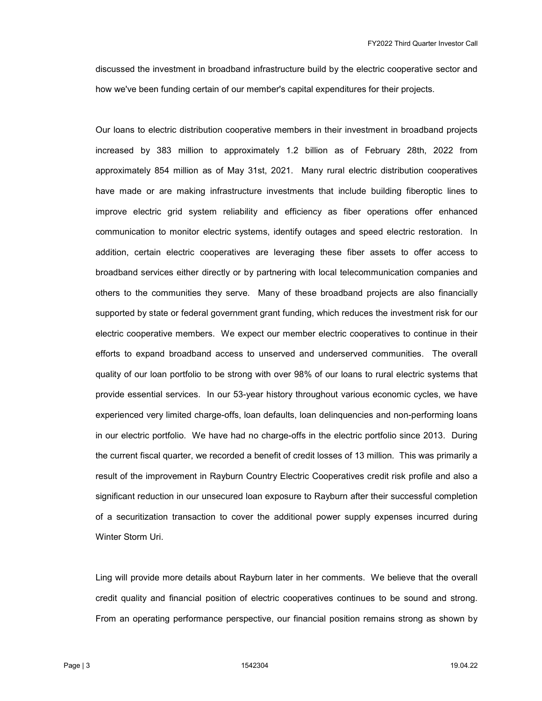discussed the investment in broadband infrastructure build by the electric cooperative sector and how we've been funding certain of our member's capital expenditures for their projects.

 Our loans to electric distribution cooperative members in their investment in broadband projects increased by 383 million to approximately 1.2 billion as of February 28th, 2022 from approximately 854 million as of May 31st, 2021. Many rural electric distribution cooperatives have made or are making infrastructure investments that include building fiberoptic lines to improve electric grid system reliability and efficiency as fiber operations offer enhanced communication to monitor electric systems, identify outages and speed electric restoration. In addition, certain electric cooperatives are leveraging these fiber assets to offer access to broadband services either directly or by partnering with local telecommunication companies and others to the communities they serve. Many of these broadband projects are also financially supported by state or federal government grant funding, which reduces the investment risk for our electric cooperative members. We expect our member electric cooperatives to continue in their efforts to expand broadband access to unserved and underserved communities. The overall quality of our loan portfolio to be strong with over 98% of our loans to rural electric systems that provide essential services. In our 53-year history throughout various economic cycles, we have experienced very limited charge-offs, loan defaults, loan delinquencies and non-performing loans in our electric portfolio. We have had no charge-offs in the electric portfolio since 2013. During the current fiscal quarter, we recorded a benefit of credit losses of 13 million. This was primarily a result of the improvement in Rayburn Country Electric Cooperatives credit risk profile and also a significant reduction in our unsecured loan exposure to Rayburn after their successful completion of a securitization transaction to cover the additional power supply expenses incurred during Winter Storm Uri.

 Ling will provide more details about Rayburn later in her comments. We believe that the overall credit quality and financial position of electric cooperatives continues to be sound and strong. From an operating performance perspective, our financial position remains strong as shown by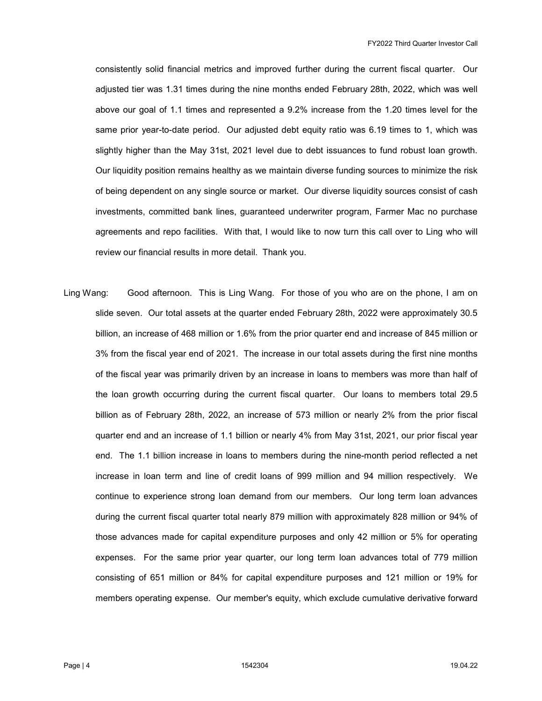consistently solid financial metrics and improved further during the current fiscal quarter. Our adjusted tier was 1.31 times during the nine months ended February 28th, 2022, which was well above our goal of 1.1 times and represented a 9.2% increase from the 1.20 times level for the same prior year-to-date period. Our adjusted debt equity ratio was 6.19 times to 1, which was slightly higher than the May 31st, 2021 level due to debt issuances to fund robust loan growth. Our liquidity position remains healthy as we maintain diverse funding sources to minimize the risk of being dependent on any single source or market. Our diverse liquidity sources consist of cash investments, committed bank lines, guaranteed underwriter program, Farmer Mac no purchase agreements and repo facilities. With that, I would like to now turn this call over to Ling who will review our financial results in more detail. Thank you.

Ling Wang: Good afternoon. This is Ling Wang. For those of you who are on the phone, I am on slide seven. Our total assets at the quarter ended February 28th, 2022 were approximately 30.5 billion, an increase of 468 million or 1.6% from the prior quarter end and increase of 845 million or 3% from the fiscal year end of 2021. The increase in our total assets during the first nine months of the fiscal year was primarily driven by an increase in loans to members was more than half of the loan growth occurring during the current fiscal quarter. Our loans to members total 29.5 billion as of February 28th, 2022, an increase of 573 million or nearly 2% from the prior fiscal quarter end and an increase of 1.1 billion or nearly 4% from May 31st, 2021, our prior fiscal year end. The 1.1 billion increase in loans to members during the nine-month period reflected a net increase in loan term and line of credit loans of 999 million and 94 million respectively. We continue to experience strong loan demand from our members. Our long term loan advances during the current fiscal quarter total nearly 879 million with approximately 828 million or 94% of those advances made for capital expenditure purposes and only 42 million or 5% for operating expenses. For the same prior year quarter, our long term loan advances total of 779 million consisting of 651 million or 84% for capital expenditure purposes and 121 million or 19% for members operating expense. Our member's equity, which exclude cumulative derivative forward

Page | 4 1542304 19.04.22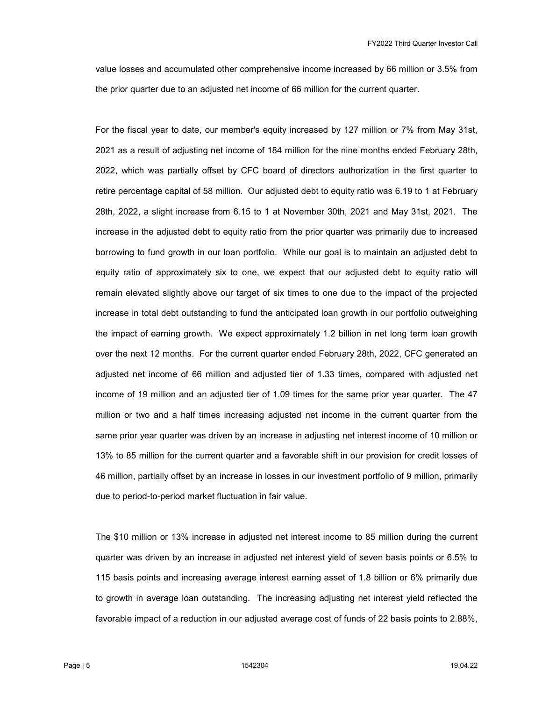value losses and accumulated other comprehensive income increased by 66 million or 3.5% from the prior quarter due to an adjusted net income of 66 million for the current quarter.

 For the fiscal year to date, our member's equity increased by 127 million or 7% from May 31st, 2021 as a result of adjusting net income of 184 million for the nine months ended February 28th, 2022, which was partially offset by CFC board of directors authorization in the first quarter to retire percentage capital of 58 million. Our adjusted debt to equity ratio was 6.19 to 1 at February 28th, 2022, a slight increase from 6.15 to 1 at November 30th, 2021 and May 31st, 2021. The increase in the adjusted debt to equity ratio from the prior quarter was primarily due to increased borrowing to fund growth in our loan portfolio. While our goal is to maintain an adjusted debt to equity ratio of approximately six to one, we expect that our adjusted debt to equity ratio will remain elevated slightly above our target of six times to one due to the impact of the projected increase in total debt outstanding to fund the anticipated loan growth in our portfolio outweighing the impact of earning growth. We expect approximately 1.2 billion in net long term loan growth over the next 12 months. For the current quarter ended February 28th, 2022, CFC generated an adjusted net income of 66 million and adjusted tier of 1.33 times, compared with adjusted net income of 19 million and an adjusted tier of 1.09 times for the same prior year quarter. The 47 million or two and a half times increasing adjusted net income in the current quarter from the same prior year quarter was driven by an increase in adjusting net interest income of 10 million or 13% to 85 million for the current quarter and a favorable shift in our provision for credit losses of 46 million, partially offset by an increase in losses in our investment portfolio of 9 million, primarily due to period-to-period market fluctuation in fair value.

 The \$10 million or 13% increase in adjusted net interest income to 85 million during the current quarter was driven by an increase in adjusted net interest yield of seven basis points or 6.5% to 115 basis points and increasing average interest earning asset of 1.8 billion or 6% primarily due to growth in average loan outstanding. The increasing adjusting net interest yield reflected the favorable impact of a reduction in our adjusted average cost of funds of 22 basis points to 2.88%,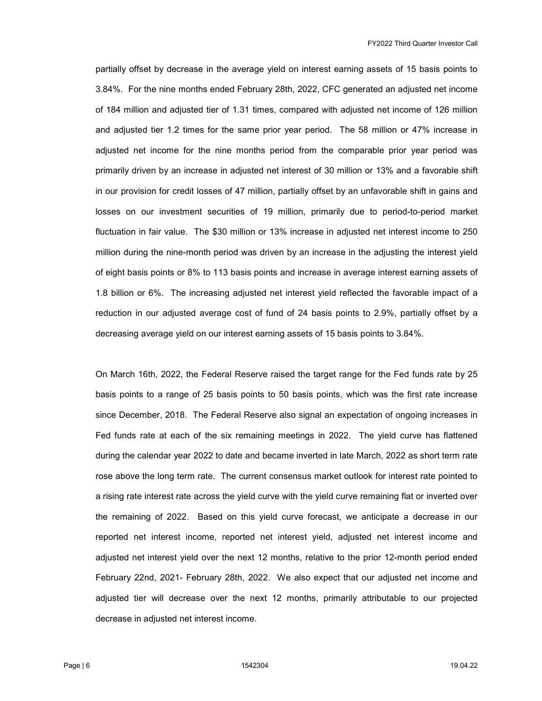partially offset by decrease in the average yield on interest earning assets of 15 basis points to 3.84%. For the nine months ended February 28th, 2022, CFC generated an adjusted net income of 184 million and adjusted tier of 1.31 times, compared with adjusted net income of 126 million and adjusted tier 1.2 times for the same prior year period. The 58 million or 47% increase in adjusted net income for the nine months period from the comparable prior year period was primarily driven by an increase in adjusted net interest of 30 million or 13% and a favorable shift in our provision for credit losses of 47 million, partially offset by an unfavorable shift in gains and losses on our investment securities of 19 million, primarily due to period-to-period market fluctuation in fair value. The \$30 million or 13% increase in adjusted net interest income to 250 million during the nine-month period was driven by an increase in the adjusting the interest yield of eight basis points or 8% to 113 basis points and increase in average interest earning assets of 1.8 billion or 6%. The increasing adjusted net interest yield reflected the favorable impact of a reduction in our adjusted average cost of fund of 24 basis points to 2.9%, partially offset by a decreasing average yield on our interest earning assets of 15 basis points to 3.84%.

 On March 16th, 2022, the Federal Reserve raised the target range for the Fed funds rate by 25 basis points to a range of 25 basis points to 50 basis points, which was the first rate increase since December, 2018. The Federal Reserve also signal an expectation of ongoing increases in Fed funds rate at each of the six remaining meetings in 2022. The yield curve has flattened during the calendar year 2022 to date and became inverted in late March, 2022 as short term rate rose above the long term rate. The current consensus market outlook for interest rate pointed to a rising rate interest rate across the yield curve with the yield curve remaining flat or inverted over the remaining of 2022. Based on this yield curve forecast, we anticipate a decrease in our reported net interest income, reported net interest yield, adjusted net interest income and adjusted net interest yield over the next 12 months, relative to the prior 12-month period ended February 22nd, 2021- February 28th, 2022. We also expect that our adjusted net income and adjusted tier will decrease over the next 12 months, primarily attributable to our projected decrease in adjusted net interest income.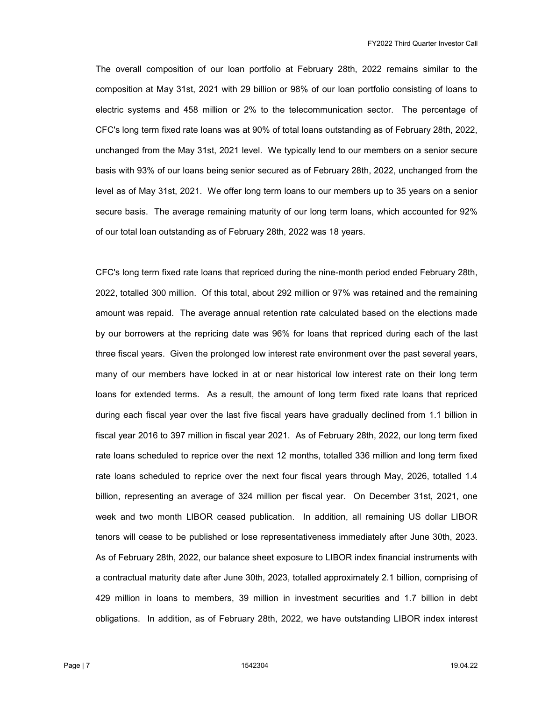The overall composition of our loan portfolio at February 28th, 2022 remains similar to the composition at May 31st, 2021 with 29 billion or 98% of our loan portfolio consisting of loans to electric systems and 458 million or 2% to the telecommunication sector. The percentage of CFC's long term fixed rate loans was at 90% of total loans outstanding as of February 28th, 2022, unchanged from the May 31st, 2021 level. We typically lend to our members on a senior secure basis with 93% of our loans being senior secured as of February 28th, 2022, unchanged from the level as of May 31st, 2021. We offer long term loans to our members up to 35 years on a senior secure basis. The average remaining maturity of our long term loans, which accounted for 92% of our total loan outstanding as of February 28th, 2022 was 18 years.

 CFC's long term fixed rate loans that repriced during the nine-month period ended February 28th, 2022, totalled 300 million. Of this total, about 292 million or 97% was retained and the remaining amount was repaid. The average annual retention rate calculated based on the elections made by our borrowers at the repricing date was 96% for loans that repriced during each of the last three fiscal years. Given the prolonged low interest rate environment over the past several years, many of our members have locked in at or near historical low interest rate on their long term loans for extended terms. As a result, the amount of long term fixed rate loans that repriced during each fiscal year over the last five fiscal years have gradually declined from 1.1 billion in fiscal year 2016 to 397 million in fiscal year 2021. As of February 28th, 2022, our long term fixed rate loans scheduled to reprice over the next 12 months, totalled 336 million and long term fixed rate loans scheduled to reprice over the next four fiscal years through May, 2026, totalled 1.4 billion, representing an average of 324 million per fiscal year. On December 31st, 2021, one week and two month LIBOR ceased publication. In addition, all remaining US dollar LIBOR tenors will cease to be published or lose representativeness immediately after June 30th, 2023. As of February 28th, 2022, our balance sheet exposure to LIBOR index financial instruments with a contractual maturity date after June 30th, 2023, totalled approximately 2.1 billion, comprising of 429 million in loans to members, 39 million in investment securities and 1.7 billion in debt obligations. In addition, as of February 28th, 2022, we have outstanding LIBOR index interest

Page | 7 1542304 19.04.22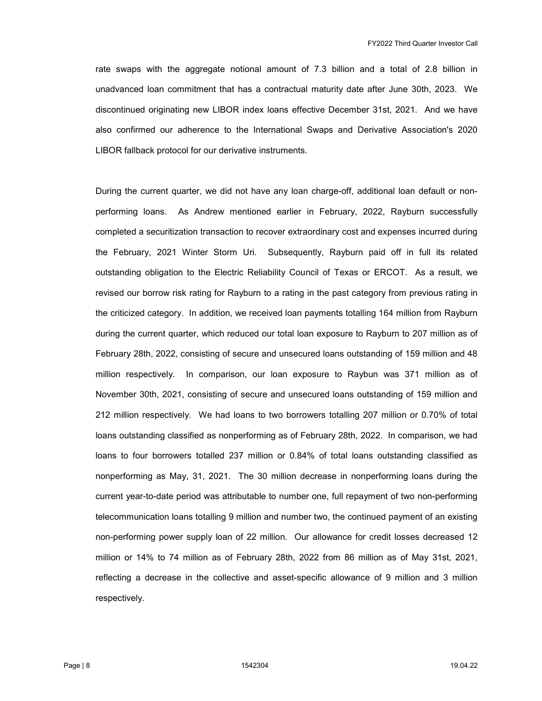rate swaps with the aggregate notional amount of 7.3 billion and a total of 2.8 billion in unadvanced loan commitment that has a contractual maturity date after June 30th, 2023. We discontinued originating new LIBOR index loans effective December 31st, 2021. And we have also confirmed our adherence to the International Swaps and Derivative Association's 2020 LIBOR fallback protocol for our derivative instruments.

 During the current quarter, we did not have any loan charge-off, additional loan default or nonperforming loans. As Andrew mentioned earlier in February, 2022, Rayburn successfully completed a securitization transaction to recover extraordinary cost and expenses incurred during the February, 2021 Winter Storm Uri. Subsequently, Rayburn paid off in full its related outstanding obligation to the Electric Reliability Council of Texas or ERCOT. As a result, we revised our borrow risk rating for Rayburn to a rating in the past category from previous rating in the criticized category. In addition, we received loan payments totalling 164 million from Rayburn during the current quarter, which reduced our total loan exposure to Rayburn to 207 million as of February 28th, 2022, consisting of secure and unsecured loans outstanding of 159 million and 48 million respectively. In comparison, our loan exposure to Raybun was 371 million as of November 30th, 2021, consisting of secure and unsecured loans outstanding of 159 million and 212 million respectively. We had loans to two borrowers totalling 207 million or 0.70% of total loans outstanding classified as nonperforming as of February 28th, 2022. In comparison, we had loans to four borrowers totalled 237 million or 0.84% of total loans outstanding classified as nonperforming as May, 31, 2021. The 30 million decrease in nonperforming loans during the current year-to-date period was attributable to number one, full repayment of two non-performing telecommunication loans totalling 9 million and number two, the continued payment of an existing non-performing power supply loan of 22 million. Our allowance for credit losses decreased 12 million or 14% to 74 million as of February 28th, 2022 from 86 million as of May 31st, 2021, reflecting a decrease in the collective and asset-specific allowance of 9 million and 3 million respectively.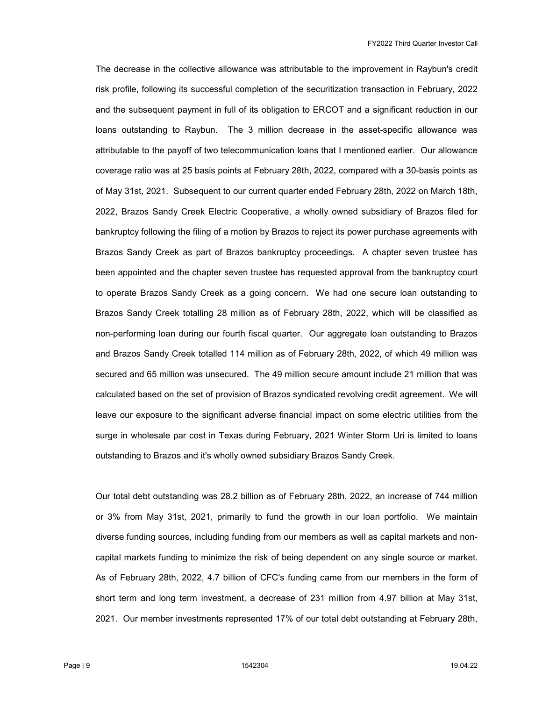The decrease in the collective allowance was attributable to the improvement in Raybun's credit risk profile, following its successful completion of the securitization transaction in February, 2022 and the subsequent payment in full of its obligation to ERCOT and a significant reduction in our loans outstanding to Raybun. The 3 million decrease in the asset-specific allowance was attributable to the payoff of two telecommunication loans that I mentioned earlier. Our allowance coverage ratio was at 25 basis points at February 28th, 2022, compared with a 30-basis points as of May 31st, 2021. Subsequent to our current quarter ended February 28th, 2022 on March 18th, 2022, Brazos Sandy Creek Electric Cooperative, a wholly owned subsidiary of Brazos filed for bankruptcy following the filing of a motion by Brazos to reject its power purchase agreements with Brazos Sandy Creek as part of Brazos bankruptcy proceedings. A chapter seven trustee has been appointed and the chapter seven trustee has requested approval from the bankruptcy court to operate Brazos Sandy Creek as a going concern. We had one secure loan outstanding to Brazos Sandy Creek totalling 28 million as of February 28th, 2022, which will be classified as non-performing loan during our fourth fiscal quarter. Our aggregate loan outstanding to Brazos and Brazos Sandy Creek totalled 114 million as of February 28th, 2022, of which 49 million was secured and 65 million was unsecured. The 49 million secure amount include 21 million that was calculated based on the set of provision of Brazos syndicated revolving credit agreement. We will leave our exposure to the significant adverse financial impact on some electric utilities from the surge in wholesale par cost in Texas during February, 2021 Winter Storm Uri is limited to loans outstanding to Brazos and it's wholly owned subsidiary Brazos Sandy Creek.

 Our total debt outstanding was 28.2 billion as of February 28th, 2022, an increase of 744 million or 3% from May 31st, 2021, primarily to fund the growth in our loan portfolio. We maintain diverse funding sources, including funding from our members as well as capital markets and noncapital markets funding to minimize the risk of being dependent on any single source or market. As of February 28th, 2022, 4.7 billion of CFC's funding came from our members in the form of short term and long term investment, a decrease of 231 million from 4.97 billion at May 31st, 2021. Our member investments represented 17% of our total debt outstanding at February 28th,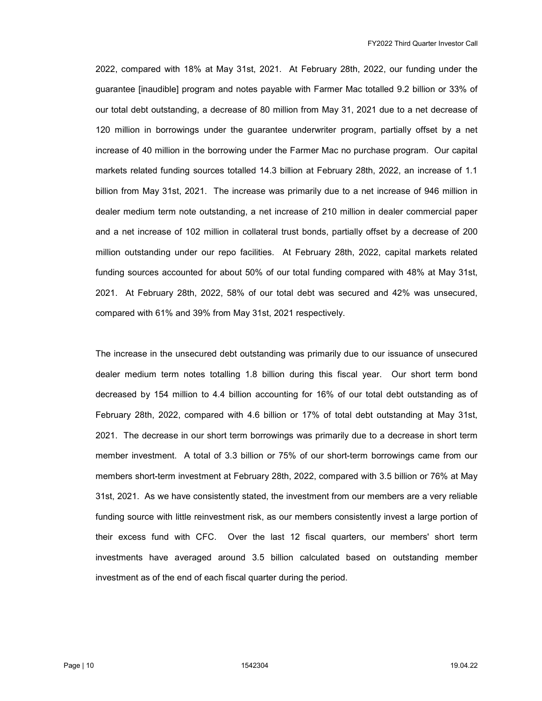2022, compared with 18% at May 31st, 2021. At February 28th, 2022, our funding under the guarantee [inaudible] program and notes payable with Farmer Mac totalled 9.2 billion or 33% of our total debt outstanding, a decrease of 80 million from May 31, 2021 due to a net decrease of 120 million in borrowings under the guarantee underwriter program, partially offset by a net increase of 40 million in the borrowing under the Farmer Mac no purchase program. Our capital markets related funding sources totalled 14.3 billion at February 28th, 2022, an increase of 1.1 billion from May 31st, 2021. The increase was primarily due to a net increase of 946 million in dealer medium term note outstanding, a net increase of 210 million in dealer commercial paper and a net increase of 102 million in collateral trust bonds, partially offset by a decrease of 200 million outstanding under our repo facilities. At February 28th, 2022, capital markets related funding sources accounted for about 50% of our total funding compared with 48% at May 31st, 2021. At February 28th, 2022, 58% of our total debt was secured and 42% was unsecured, compared with 61% and 39% from May 31st, 2021 respectively.

 The increase in the unsecured debt outstanding was primarily due to our issuance of unsecured dealer medium term notes totalling 1.8 billion during this fiscal year. Our short term bond decreased by 154 million to 4.4 billion accounting for 16% of our total debt outstanding as of February 28th, 2022, compared with 4.6 billion or 17% of total debt outstanding at May 31st, 2021. The decrease in our short term borrowings was primarily due to a decrease in short term member investment. A total of 3.3 billion or 75% of our short-term borrowings came from our members short-term investment at February 28th, 2022, compared with 3.5 billion or 76% at May 31st, 2021. As we have consistently stated, the investment from our members are a very reliable funding source with little reinvestment risk, as our members consistently invest a large portion of their excess fund with CFC. Over the last 12 fiscal quarters, our members' short term investments have averaged around 3.5 billion calculated based on outstanding member investment as of the end of each fiscal quarter during the period.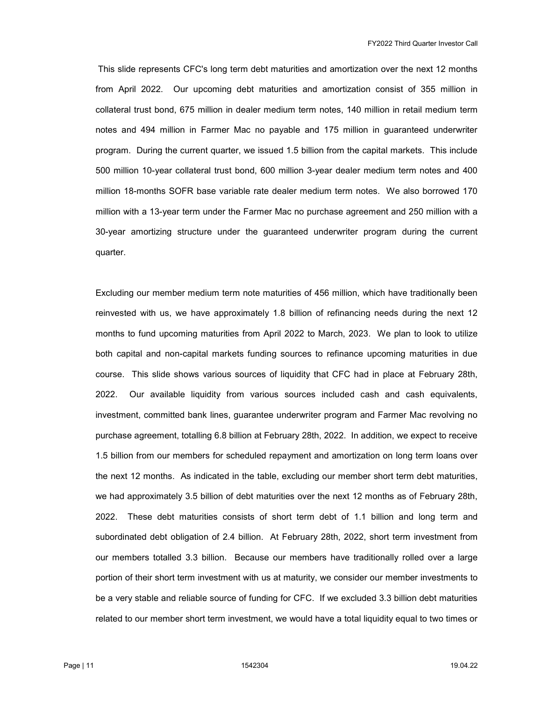This slide represents CFC's long term debt maturities and amortization over the next 12 months from April 2022. Our upcoming debt maturities and amortization consist of 355 million in collateral trust bond, 675 million in dealer medium term notes, 140 million in retail medium term notes and 494 million in Farmer Mac no payable and 175 million in guaranteed underwriter program. During the current quarter, we issued 1.5 billion from the capital markets. This include 500 million 10-year collateral trust bond, 600 million 3-year dealer medium term notes and 400 million 18-months SOFR base variable rate dealer medium term notes. We also borrowed 170 million with a 13-year term under the Farmer Mac no purchase agreement and 250 million with a 30-year amortizing structure under the guaranteed underwriter program during the current quarter.

 Excluding our member medium term note maturities of 456 million, which have traditionally been reinvested with us, we have approximately 1.8 billion of refinancing needs during the next 12 months to fund upcoming maturities from April 2022 to March, 2023. We plan to look to utilize both capital and non-capital markets funding sources to refinance upcoming maturities in due course. This slide shows various sources of liquidity that CFC had in place at February 28th, 2022. Our available liquidity from various sources included cash and cash equivalents, investment, committed bank lines, guarantee underwriter program and Farmer Mac revolving no purchase agreement, totalling 6.8 billion at February 28th, 2022. In addition, we expect to receive 1.5 billion from our members for scheduled repayment and amortization on long term loans over the next 12 months. As indicated in the table, excluding our member short term debt maturities, we had approximately 3.5 billion of debt maturities over the next 12 months as of February 28th, 2022. These debt maturities consists of short term debt of 1.1 billion and long term and subordinated debt obligation of 2.4 billion. At February 28th, 2022, short term investment from our members totalled 3.3 billion. Because our members have traditionally rolled over a large portion of their short term investment with us at maturity, we consider our member investments to be a very stable and reliable source of funding for CFC. If we excluded 3.3 billion debt maturities related to our member short term investment, we would have a total liquidity equal to two times or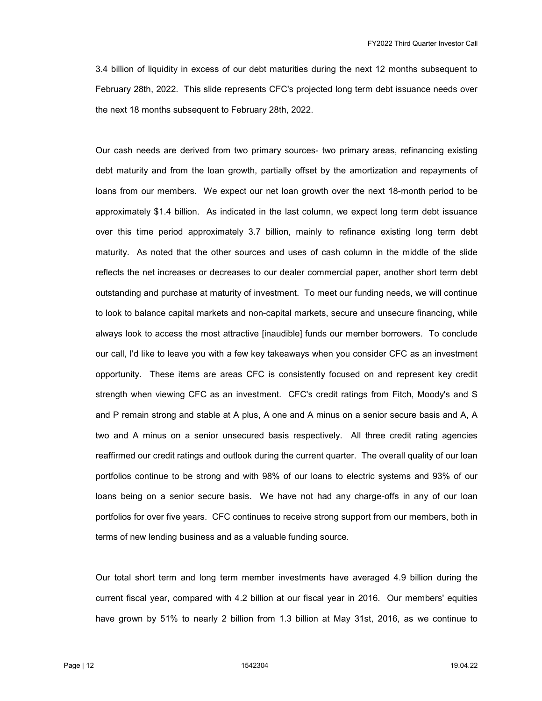3.4 billion of liquidity in excess of our debt maturities during the next 12 months subsequent to February 28th, 2022. This slide represents CFC's projected long term debt issuance needs over the next 18 months subsequent to February 28th, 2022.

 Our cash needs are derived from two primary sources- two primary areas, refinancing existing debt maturity and from the loan growth, partially offset by the amortization and repayments of loans from our members. We expect our net loan growth over the next 18-month period to be approximately \$1.4 billion. As indicated in the last column, we expect long term debt issuance over this time period approximately 3.7 billion, mainly to refinance existing long term debt maturity. As noted that the other sources and uses of cash column in the middle of the slide reflects the net increases or decreases to our dealer commercial paper, another short term debt outstanding and purchase at maturity of investment. To meet our funding needs, we will continue to look to balance capital markets and non-capital markets, secure and unsecure financing, while always look to access the most attractive [inaudible] funds our member borrowers. To conclude our call, I'd like to leave you with a few key takeaways when you consider CFC as an investment opportunity. These items are areas CFC is consistently focused on and represent key credit strength when viewing CFC as an investment. CFC's credit ratings from Fitch, Moody's and S and P remain strong and stable at A plus, A one and A minus on a senior secure basis and A, A two and A minus on a senior unsecured basis respectively. All three credit rating agencies reaffirmed our credit ratings and outlook during the current quarter. The overall quality of our loan portfolios continue to be strong and with 98% of our loans to electric systems and 93% of our loans being on a senior secure basis. We have not had any charge-offs in any of our loan portfolios for over five years. CFC continues to receive strong support from our members, both in terms of new lending business and as a valuable funding source.

 Our total short term and long term member investments have averaged 4.9 billion during the current fiscal year, compared with 4.2 billion at our fiscal year in 2016. Our members' equities have grown by 51% to nearly 2 billion from 1.3 billion at May 31st, 2016, as we continue to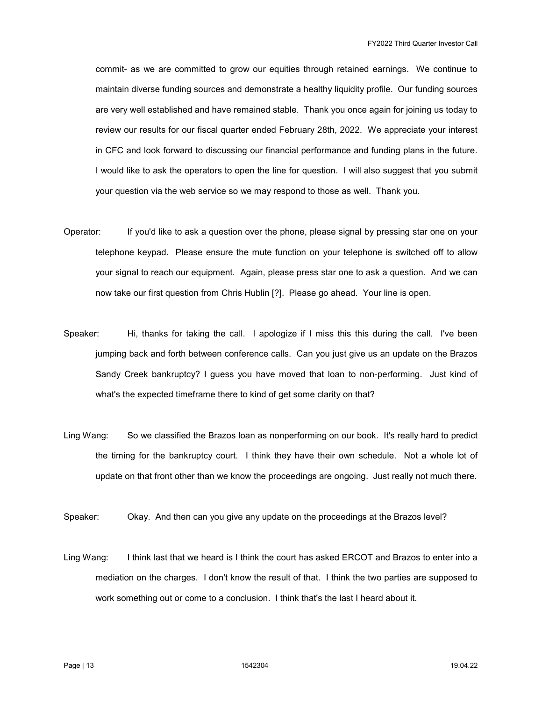commit- as we are committed to grow our equities through retained earnings. We continue to maintain diverse funding sources and demonstrate a healthy liquidity profile. Our funding sources are very well established and have remained stable. Thank you once again for joining us today to review our results for our fiscal quarter ended February 28th, 2022. We appreciate your interest in CFC and look forward to discussing our financial performance and funding plans in the future. I would like to ask the operators to open the line for question. I will also suggest that you submit your question via the web service so we may respond to those as well. Thank you.

- Operator: If you'd like to ask a question over the phone, please signal by pressing star one on your telephone keypad. Please ensure the mute function on your telephone is switched off to allow your signal to reach our equipment. Again, please press star one to ask a question. And we can now take our first question from Chris Hublin [?]. Please go ahead. Your line is open.
- Speaker: Hi, thanks for taking the call. I apologize if I miss this this during the call. I've been jumping back and forth between conference calls. Can you just give us an update on the Brazos Sandy Creek bankruptcy? I guess you have moved that loan to non-performing. Just kind of what's the expected timeframe there to kind of get some clarity on that?
- Ling Wang: So we classified the Brazos loan as nonperforming on our book. It's really hard to predict the timing for the bankruptcy court. I think they have their own schedule. Not a whole lot of update on that front other than we know the proceedings are ongoing. Just really not much there.

Speaker: Okay. And then can you give any update on the proceedings at the Brazos level?

Ling Wang: I think last that we heard is I think the court has asked ERCOT and Brazos to enter into a mediation on the charges. I don't know the result of that. I think the two parties are supposed to work something out or come to a conclusion. I think that's the last I heard about it.